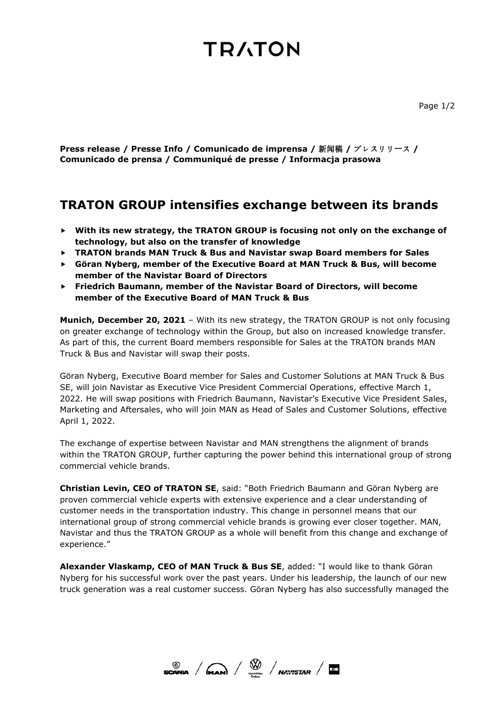# **TRATON**

**Press release / Presse Info / Comunicado de imprensa /** 新闻稿 **/** プレスリリース **/ Comunicado de prensa / Communiqué de presse / Informacja prasowa**

# **TRATON GROUP intensifies exchange between its brands**

- **With its new strategy, the TRATON GROUP is focusing not only on the exchange of technology, but also on the transfer of knowledge**
- **TRATON brands MAN Truck & Bus and Navistar swap Board members for Sales**
- **Göran Nyberg, member of the Executive Board at MAN Truck & Bus, will become member of the Navistar Board of Directors**
- **Friedrich Baumann, member of the Navistar Board of Directors, will become member of the Executive Board of MAN Truck & Bus**

**Munich, December 20, 2021** – With its new strategy, the TRATON GROUP is not only focusing on greater exchange of technology within the Group, but also on increased knowledge transfer. As part of this, the current Board members responsible for Sales at the TRATON brands MAN Truck & Bus and Navistar will swap their posts.

Göran Nyberg, Executive Board member for Sales and Customer Solutions at MAN Truck & Bus SE, will join Navistar as Executive Vice President Commercial Operations, effective March 1, 2022. He will swap positions with Friedrich Baumann, Navistar's Executive Vice President Sales, Marketing and Aftersales, who will join MAN as Head of Sales and Customer Solutions, effective April 1, 2022.

The exchange of expertise between Navistar and MAN strengthens the alignment of brands within the TRATON GROUP, further capturing the power behind this international group of strong commercial vehicle brands.

**Christian Levin, CEO of TRATON SE**, said: "Both Friedrich Baumann and Göran Nyberg are proven commercial vehicle experts with extensive experience and a clear understanding of customer needs in the transportation industry. This change in personnel means that our international group of strong commercial vehicle brands is growing ever closer together. MAN, Navistar and thus the TRATON GROUP as a whole will benefit from this change and exchange of experience."

**Alexander Vlaskamp, CEO of MAN Truck & Bus SE**, added: "I would like to thank Göran Nyberg for his successful work over the past years. Under his leadership, the launch of our new truck generation was a real customer success. Göran Nyberg has also successfully managed the